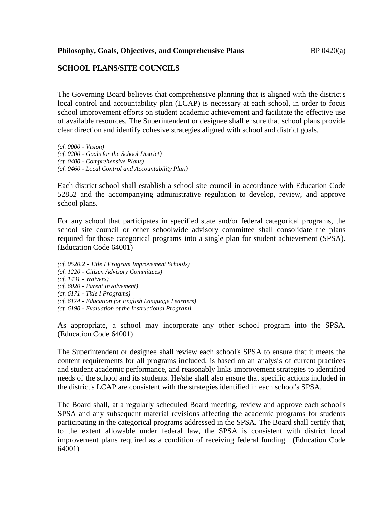## **Philosophy, Goals, Objectives, and Comprehensive Plans** BP 0420(a)

# **SCHOOL PLANS/SITE COUNCILS**

The Governing Board believes that comprehensive planning that is aligned with the district's local control and accountability plan (LCAP) is necessary at each school, in order to focus school improvement efforts on student academic achievement and facilitate the effective use of available resources. The Superintendent or designee shall ensure that school plans provide clear direction and identify cohesive strategies aligned with school and district goals.

*(cf. 0000 - Vision) (cf. 0200 - Goals for the School District) (cf. 0400 - Comprehensive Plans) (cf. 0460 - Local Control and Accountability Plan)*

Each district school shall establish a school site council in accordance with Education Code 52852 and the accompanying administrative regulation to develop, review, and approve school plans.

For any school that participates in specified state and/or federal categorical programs, the school site council or other schoolwide advisory committee shall consolidate the plans required for those categorical programs into a single plan for student achievement (SPSA). (Education Code 64001)

- *(cf. 0520.2 - Title I Program Improvement Schools) (cf. 1220 - Citizen Advisory Committees) (cf. 1431 - Waivers) (cf. 6020 - Parent Involvement) (cf. 6171 - Title I Programs)*
- *(cf. 6174 - Education for English Language Learners)*
- *(cf. 6190 - Evaluation of the Instructional Program)*

As appropriate, a school may incorporate any other school program into the SPSA. (Education Code 64001)

The Superintendent or designee shall review each school's SPSA to ensure that it meets the content requirements for all programs included, is based on an analysis of current practices and student academic performance, and reasonably links improvement strategies to identified needs of the school and its students. He/she shall also ensure that specific actions included in the district's LCAP are consistent with the strategies identified in each school's SPSA.

The Board shall, at a regularly scheduled Board meeting, review and approve each school's SPSA and any subsequent material revisions affecting the academic programs for students participating in the categorical programs addressed in the SPSA. The Board shall certify that, to the extent allowable under federal law, the SPSA is consistent with district local improvement plans required as a condition of receiving federal funding. (Education Code 64001)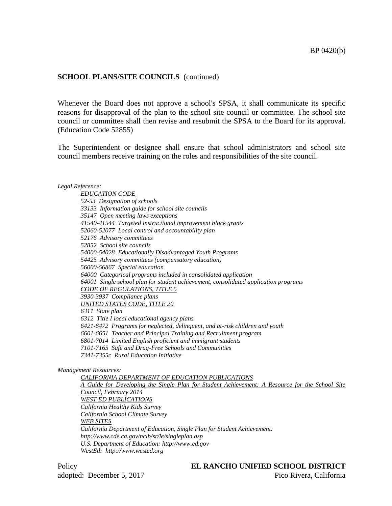### **SCHOOL PLANS/SITE COUNCILS** (continued)

Whenever the Board does not approve a school's SPSA, it shall communicate its specific reasons for disapproval of the plan to the school site council or committee. The school site council or committee shall then revise and resubmit the SPSA to the Board for its approval. (Education Code 52855)

The Superintendent or designee shall ensure that school administrators and school site council members receive training on the roles and responsibilities of the site council.

*Legal Reference:*

*EDUCATION CODE 52-53 Designation of schools 33133 Information guide for school site councils 35147 Open meeting laws exceptions 41540-41544 Targeted instructional improvement block grants 52060-52077 Local control and accountability plan 52176 Advisory committees 52852 School site councils 54000-54028 Educationally Disadvantaged Youth Programs 54425 Advisory committees (compensatory education) 56000-56867 Special education 64000 Categorical programs included in consolidated application 64001 Single school plan for student achievement, consolidated application programs CODE OF REGULATIONS, TITLE 5 3930-3937 Compliance plans UNITED STATES CODE, TITLE 20 6311 State plan 6312 Title I local educational agency plans 6421-6472 Programs for neglected, delinquent, and at-risk children and youth 6601-6651 Teacher and Principal Training and Recruitment program 6801-7014 Limited English proficient and immigrant students 7101-7165 Safe and Drug-Free Schools and Communities 7341-7355c Rural Education Initiative*

*Management Resources:*

*CALIFORNIA DEPARTMENT OF EDUCATION PUBLICATIONS A Guide for Developing the Single Plan for Student Achievement: A Resource for the School Site Council, February 2014 WEST ED PUBLICATIONS California Healthy Kids Survey California School Climate Survey WEB SITES California Department of Education, Single Plan for Student Achievement: http://www.cde.ca.gov/nclb/sr/le/singleplan.asp U.S. Department of Education: http://www.ed.gov WestEd: http://www.wested.org*

Policy **EL RANCHO UNIFIED SCHOOL DISTRICT** adopted: December 5, 2017 Pico Rivera, California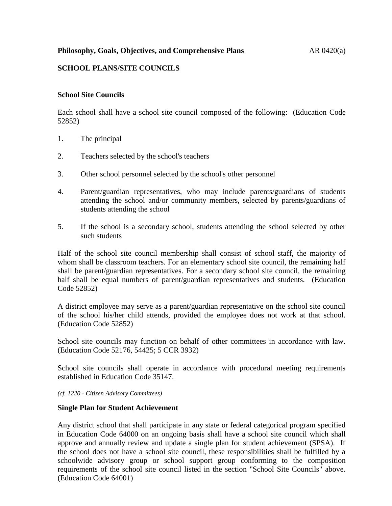**Philosophy, Goals, Objectives, and Comprehensive Plans** AR 0420(a)

# **SCHOOL PLANS/SITE COUNCILS**

# **School Site Councils**

Each school shall have a school site council composed of the following: (Education Code 52852)

- 1. The principal
- 2. Teachers selected by the school's teachers
- 3. Other school personnel selected by the school's other personnel
- 4. Parent/guardian representatives, who may include parents/guardians of students attending the school and/or community members, selected by parents/guardians of students attending the school
- 5. If the school is a secondary school, students attending the school selected by other such students

Half of the school site council membership shall consist of school staff, the majority of whom shall be classroom teachers. For an elementary school site council, the remaining half shall be parent/guardian representatives. For a secondary school site council, the remaining half shall be equal numbers of parent/guardian representatives and students. (Education Code 52852)

A district employee may serve as a parent/guardian representative on the school site council of the school his/her child attends, provided the employee does not work at that school. (Education Code 52852)

School site councils may function on behalf of other committees in accordance with law. (Education Code 52176, 54425; 5 CCR 3932)

School site councils shall operate in accordance with procedural meeting requirements established in Education Code 35147.

*(cf. 1220 - Citizen Advisory Committees)*

# **Single Plan for Student Achievement**

Any district school that shall participate in any state or federal categorical program specified in Education Code 64000 on an ongoing basis shall have a school site council which shall approve and annually review and update a single plan for student achievement (SPSA). If the school does not have a school site council, these responsibilities shall be fulfilled by a schoolwide advisory group or school support group conforming to the composition requirements of the school site council listed in the section "School Site Councils" above. (Education Code 64001)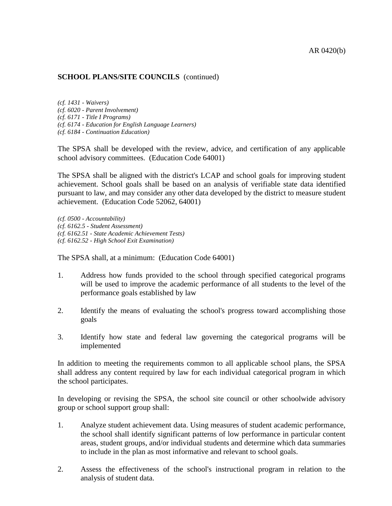# **SCHOOL PLANS/SITE COUNCILS** (continued)

*(cf. 1431 - Waivers) (cf. 6020 - Parent Involvement) (cf. 6171 - Title I Programs) (cf. 6174 - Education for English Language Learners)*

*(cf. 6184 - Continuation Education)*

The SPSA shall be developed with the review, advice, and certification of any applicable school advisory committees. (Education Code 64001)

The SPSA shall be aligned with the district's LCAP and school goals for improving student achievement. School goals shall be based on an analysis of verifiable state data identified pursuant to law, and may consider any other data developed by the district to measure student achievement. (Education Code 52062, 64001)

*(cf. 0500 - Accountability) (cf. 6162.5 - Student Assessment) (cf. 6162.51 - State Academic Achievement Tests) (cf. 6162.52 - High School Exit Examination)*

The SPSA shall, at a minimum: (Education Code 64001)

- 1. Address how funds provided to the school through specified categorical programs will be used to improve the academic performance of all students to the level of the performance goals established by law
- 2. Identify the means of evaluating the school's progress toward accomplishing those goals
- 3. Identify how state and federal law governing the categorical programs will be implemented

In addition to meeting the requirements common to all applicable school plans, the SPSA shall address any content required by law for each individual categorical program in which the school participates.

In developing or revising the SPSA, the school site council or other schoolwide advisory group or school support group shall:

- 1. Analyze student achievement data. Using measures of student academic performance, the school shall identify significant patterns of low performance in particular content areas, student groups, and/or individual students and determine which data summaries to include in the plan as most informative and relevant to school goals.
- 2. Assess the effectiveness of the school's instructional program in relation to the analysis of student data.